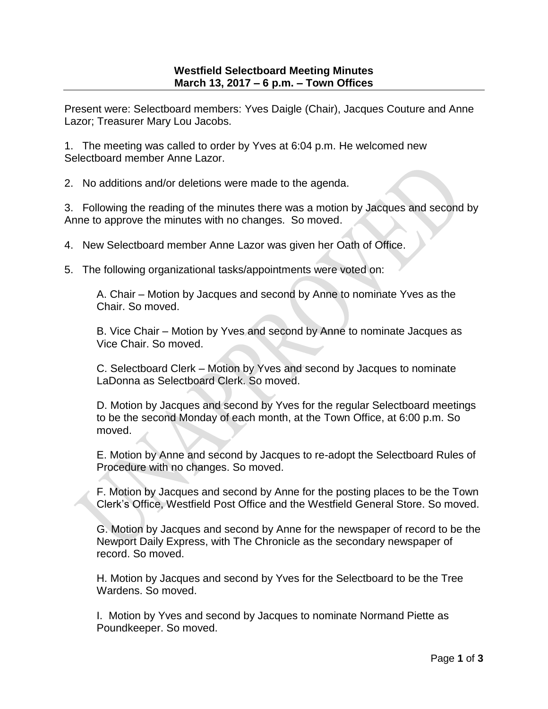Present were: Selectboard members: Yves Daigle (Chair), Jacques Couture and Anne Lazor; Treasurer Mary Lou Jacobs.

1. The meeting was called to order by Yves at 6:04 p.m. He welcomed new Selectboard member Anne Lazor.

2. No additions and/or deletions were made to the agenda.

3. Following the reading of the minutes there was a motion by Jacques and second by Anne to approve the minutes with no changes. So moved.

4. New Selectboard member Anne Lazor was given her Oath of Office.

5. The following organizational tasks/appointments were voted on:

A. Chair – Motion by Jacques and second by Anne to nominate Yves as the Chair. So moved.

B. Vice Chair – Motion by Yves and second by Anne to nominate Jacques as Vice Chair. So moved.

C. Selectboard Clerk – Motion by Yves and second by Jacques to nominate LaDonna as Selectboard Clerk. So moved.

D. Motion by Jacques and second by Yves for the regular Selectboard meetings to be the second Monday of each month, at the Town Office, at 6:00 p.m. So moved.

E. Motion by Anne and second by Jacques to re-adopt the Selectboard Rules of Procedure with no changes. So moved.

F. Motion by Jacques and second by Anne for the posting places to be the Town Clerk's Office, Westfield Post Office and the Westfield General Store. So moved.

G. Motion by Jacques and second by Anne for the newspaper of record to be the Newport Daily Express, with The Chronicle as the secondary newspaper of record. So moved.

H. Motion by Jacques and second by Yves for the Selectboard to be the Tree Wardens. So moved.

I. Motion by Yves and second by Jacques to nominate Normand Piette as Poundkeeper. So moved.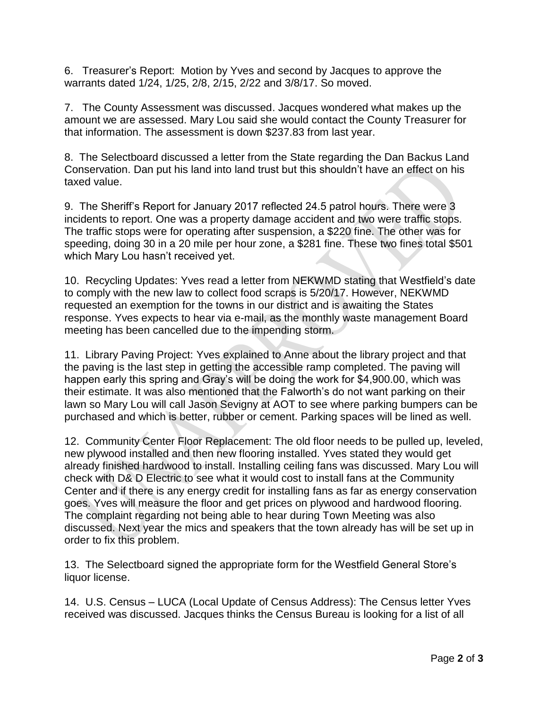6. Treasurer's Report: Motion by Yves and second by Jacques to approve the warrants dated 1/24, 1/25, 2/8, 2/15, 2/22 and 3/8/17. So moved.

7. The County Assessment was discussed. Jacques wondered what makes up the amount we are assessed. Mary Lou said she would contact the County Treasurer for that information. The assessment is down \$237.83 from last year.

8. The Selectboard discussed a letter from the State regarding the Dan Backus Land Conservation. Dan put his land into land trust but this shouldn't have an effect on his taxed value.

9. The Sheriff's Report for January 2017 reflected 24.5 patrol hours. There were 3 incidents to report. One was a property damage accident and two were traffic stops. The traffic stops were for operating after suspension, a \$220 fine. The other was for speeding, doing 30 in a 20 mile per hour zone, a \$281 fine. These two fines total \$501 which Mary Lou hasn't received yet.

10. Recycling Updates: Yves read a letter from NEKWMD stating that Westfield's date to comply with the new law to collect food scraps is 5/20/17. However, NEKWMD requested an exemption for the towns in our district and is awaiting the States response. Yves expects to hear via e-mail, as the monthly waste management Board meeting has been cancelled due to the impending storm.

11. Library Paving Project: Yves explained to Anne about the library project and that the paving is the last step in getting the accessible ramp completed. The paving will happen early this spring and Gray's will be doing the work for \$4,900.00, which was their estimate. It was also mentioned that the Falworth's do not want parking on their lawn so Mary Lou will call Jason Sevigny at AOT to see where parking bumpers can be purchased and which is better, rubber or cement. Parking spaces will be lined as well.

12. Community Center Floor Replacement: The old floor needs to be pulled up, leveled, new plywood installed and then new flooring installed. Yves stated they would get already finished hardwood to install. Installing ceiling fans was discussed. Mary Lou will check with D& D Electric to see what it would cost to install fans at the Community Center and if there is any energy credit for installing fans as far as energy conservation goes. Yves will measure the floor and get prices on plywood and hardwood flooring. The complaint regarding not being able to hear during Town Meeting was also discussed. Next year the mics and speakers that the town already has will be set up in order to fix this problem.

13. The Selectboard signed the appropriate form for the Westfield General Store's liquor license.

14. U.S. Census – LUCA (Local Update of Census Address): The Census letter Yves received was discussed. Jacques thinks the Census Bureau is looking for a list of all